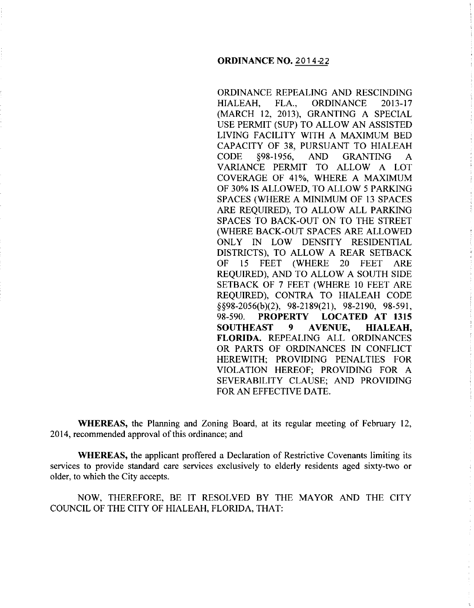ORDINANCE REPEALING AND RESCINDING HIALEAH, FLA., ORDINANCE 2013-17 (MARCH 12, 2013), GRANTING A SPECIAL USE PERMIT (SUP) TO ALLOW AN ASSISTED LIVING FACILITY WITH A MAXIMUM BED CAPACITY OF 38, PURSUANT TO HIALEAH CODE §98-1956, AND GRANTING A VARIANCE PERMIT TO ALLOW A LOT COVERAGE OF 41%, WHERE A MAXIMUM OF 30% IS ALLOWED, TO ALLOW 5 PARKING SPACES (WHERE A MINIMUM OF 13 SPACES ARE REQUIRED), TO ALLOW ALL PARKING SPACES TO BACK-OUT ON TO THE STREET (WHERE BACK-OUT SPACES ARE ALLOWED ONLY IN LOW DENSITY RESIDENTIAL DISTRICTS), TO ALLOW A REAR SETBACK OF 15 FEET (WHERE 20 FEET ARE REQUIRED), AND TO ALLOW A SOUTH SIDE SETBACK OF 7 FEET (WHERE 10 FEET ARE REQUIRED), CONTRA TO HIALEAH CODE §§98-2056(b)(2), 98-2189(21), 98-2190, 98-591, 98-590. **PROPERTY LOCATED AT 1315 SOUTHEAST 9 AVENUE, HIALEAH, FLORIDA.** REPEALING ALL ORDINANCES OR PARTS OF ORDINANCES IN CONFLICT HEREWITH; PROVIDING PENALTIES FOR VIOLATION HEREOF; PROVIDING FOR A SEVERABILITY CLAUSE; AND PROVIDING FOR AN EFFECTIVE DATE.

**WHEREAS,** the Planning and Zoning Board, at its regular meeting of February 12, 2014, recommended approval of this ordinance; and

**WHEREAS,** the applicant proffered a Declaration of Restrictive Covenants limiting its services to provide standard care services exclusively to elderly residents aged sixty-two or older, to which the City accepts.

NOW, THEREFORE, BE IT RESOLVED BY THE MAYOR AND THE CITY COUNCIL OF THE CITY OF HIALEAH, FLORIDA, THAT: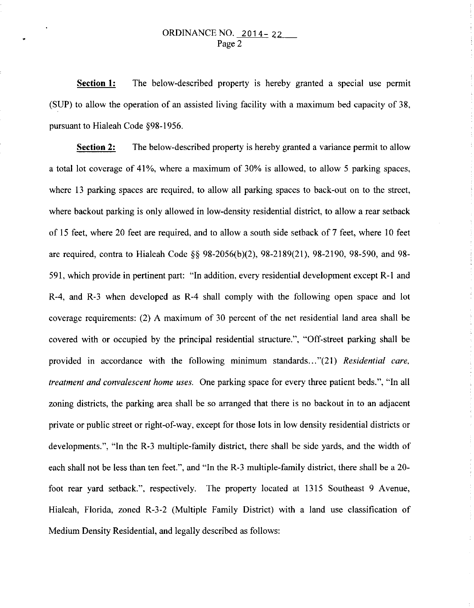**Section 1:**  The below-described property is hereby granted a special use permit (SUP) to allow the operation of an assisted living facility with a maximum bed capacity of 38, pursuant to Hialeah Code §98-1956.

**Section 2:** The below-described property is hereby granted a variance permit to allow a total lot coverage of 41%, where a maximum of 30% is allowed, to allow 5 parking spaces, where 13 parking spaces are required, to allow all parking spaces to back-out on to the street, where backout parking is only allowed in low-density residential district, to allow a rear setback of 15 feet, where 20 feet are required, and to allow a south side setback of 7 feet, where 10 feet are required, contra to Hialeah Code§§ 98-2056(b)(2), 98-2189(21), 98-2190, 98-590, and 98- 591, which provide in pertinent part: "In addition, every residential development except R-1 and R-4, and R-3 when developed as R-4 shall comply with the following open space and lot coverage requirements: (2) A maximum of 30 percent of the net residential land area shall be covered with or occupied by the principal residential structure.", "Off-street parking shall be provided in accordance with the following minimum standards ... "(21) *Residential care, treatment and convalescent home uses.* One parking space for every three patient beds.", "In all zoning districts, the parking area shall be so arranged that there is no backout in to an adjacent private or public street or right-of-way, except for those lots in low density residential districts or developments.", "In the R-3 multiple-family district, there shall be side yards, and the width of each shall not be less than ten feet.", and "In the R-3 multiple-family district, there shall be a 20 foot rear yard setback.", respectively. The property located at 1315 Southeast 9 Avenue, Hialeah, Florida, zoned R-3-2 (Multiple Family District) with a land use classification of Medium Density Residential, and legally described as follows: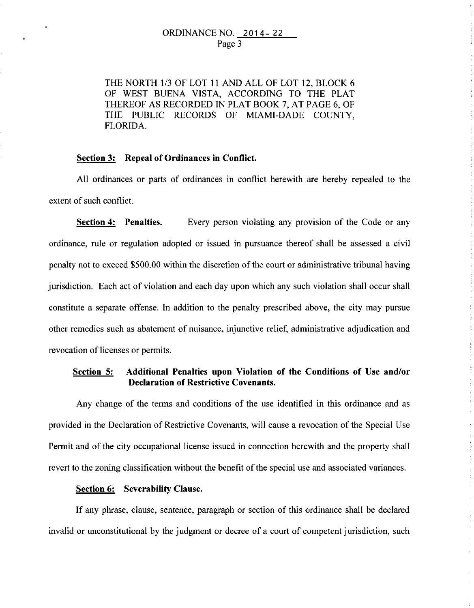### ORDINANCE NO. 2014- 22 Page 3

THE NORTH 1/3 OF LOT II AND ALL OF LOT 12, BLOCK 6 OF WEST BUENA VISTA, ACCORDING TO THE PLAT THEREOF AS RECORDED IN PLAT BOOK 7, AT PAGE 6, OF THE PUBLIC RECORDS OF MIAMI-DADE COUNTY, FLORIDA.

### **Section 3: Repeal of Ordinances in Conflict.**

All ordinances or parts of ordinances in conflict herewith are hereby repealed to the extent of such conflict.

**Section 4: Penalties.** Every person violating any provision of the Code or any ordinance, rule or regulation adopted or issued in pursuance thereof shall be assessed a civil penalty not to exceed \$500.00 within the discretion of the court or administrative tribunal having jurisdiction. Each act of violation and each day upon which any such violation shall occur shall constitute a separate offense. In addition to the penalty prescribed above, the city may pursue other remedies such as abatement of nuisance, injunctive relief, administrative adjudication and revocation of licenses or permits.

# **Section 5: Additional Penalties upon Violation of the Conditions of Use and/or Declaration of Restrictive Covenants.**

Any change of the terms and conditions of the use identified in this ordinance and as provided in the Declaration of Restrictive Covenants, will cause a revocation of the Special Use Permit and of the city occupational license issued in connection herewith and the property shall revert to the zoning classification without the benefit of the special use and associated variances.

## **Section 6: Severability Clause.**

If any phrase, clause, sentence, paragraph or section of this ordinance shall be declared invalid or unconstitutional by the judgment or decree of a court of competent jurisdiction, such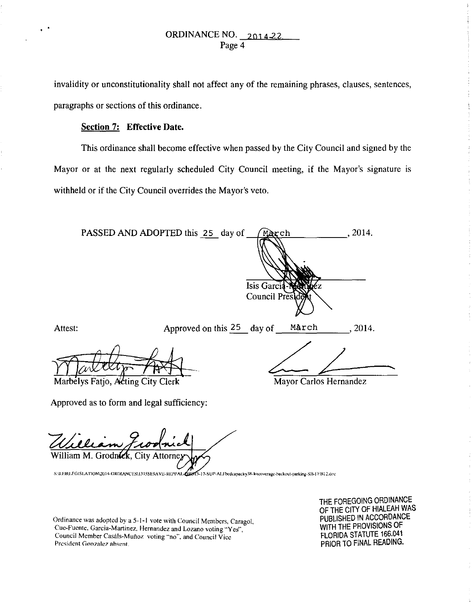invalidity or unconstitutionality shall not affect any of the remaining phrases, clauses, sentences, paragraphs or sections of this ordinance.

#### Section 7: Effective Date.

This ordinance shall become effective when passed by the City Council and signed by the Mayor or at the next regularly scheduled City Council meeting, if the Mayor's signature is withheld or if the City Council overrides the Mayor's veto.

PASSED AND ADOPTED this 25 day of 2014. χch Isis Garci Council Pres Attest: Approved on this 25 day of March 2014. Marbelys Fatjo, Acting City Clerk Mayor Carlos Hernandez Approved as to form and legal sufficiency:

William M. Grodn**íc**k

SALEBALEGISLATION2014-ORDIANCES\1315SE9AVE-REPEAL OBET3-17-SUP-ALFbedcapacity38-lotcoverage-backout-parking-SB-FEB12.doc

Ordinance was adopted by a 5-1-1 vote with Council Members, Caragol, Cue-Fuente, Garcia-Martinez, Hernandez and Lozano voting "Yes", Council Member Casáls-Muñoz voting "no", and Council Vice President Gonzalez absent.

THE FOREGOING ORDINANCE OF THE CITY OF HIALEAH WAS PUBLISHED IN ACCORDANCE WITH THE PROVISIONS OF FLORIDA STATUTE 166.041 PRIOR TO FINAL READING.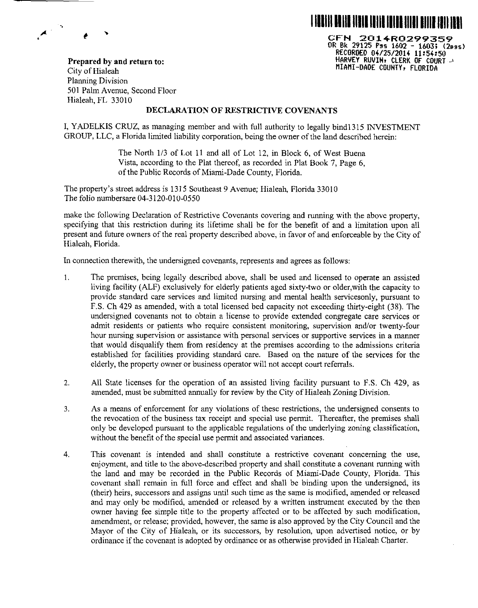

CFN 201+R0299359 OR Bk 29125 Pss 1602 - 1603; <2oos) RECORDED 0~/25/201~ 11:5~:50 HARVEY RUVIH• CLERK OF COURT J MIAMI-DADE COUNTY, FLORIDA

Prepared by and return to: City of Hialeah Planning Division 501 Palm Avenue, Second Floor Hialeah, FL 33010

..

 $\overline{\mathcal{A}}$ 

#### DECLARATION OF RESTRICTIVE COVENANTS

I, YADELKIS CRUZ, as managing member and with full authority to legally bindl315 INVESTMENT GROUP, LLC, a Florida limited liability corporation, being the owner of the land described herein:

> The North 1/3 of Lot 11 and all of Lot 12, in Block 6, of West Buena Vista, according to the Plat thereof, as recorded in Plat Book 7, Page 6, of the Public Records of Miami-Dade County, Florida.

The property's street address is 1315 Southeast 9 Avenue; Hialeah, Florida 33010 The folio numbersare 04-3120-010-0550

make the following Declaration of Restrictive Covenants covering and running with the above property, specifying that this restriction during its lifetime shall be for the benefit of and a limitation upon all present and future owners of the real property described above, in favor of and enforceable by the City of Hialeah, Florida.

In connection therewith, the undersigned covenants, represents and agrees as follows:

- I. The premises, being legally described above, shall be used and licensed to operate an assisted living facility (ALF) exclusively for elderly patients aged sixty-two or older,with the capacity to provide standard care services and limited nursing and mental health servicesonly, pursuant to F.S. Ch 429 as amended, with a total licensed bed capacity not exceeding thirty-eight (38). The undersigned covenants not to obtain a license to provide extended congregate care services or admit residents or patients who require consistent monitoring, supervision and/or twenty-four hour nursing supervision or assistance with personal services or supportive services in a manner that would disqualify them from residency at the premises according to the admissions criteria established for facilities providing standard care. Based on the nature of the services for the elderly, the property owner or business operator will not accept court referrals.
- 2. All State licenses for the operation of an assisted living facility pursuant to F.S. Ch 429, as amended, must be submitted annually for review by the City of Hialeah Zoning Division.
- 3. As a means of enforcement for any violations of these restrictions, the undersigned consents to the revocation of the business tax receipt and special use permit. Thereafter, the premises shall only be developed pursuant to the applicable regulations of the underlying zoning classification, without the benefit of the special use permit and associated variances.
- 4. This covenant is intended and shall constitute a restrictive covenant concerning the use, enjoyment, and title to the above-described property and shall constitute a covenant running with the land and may be recorded in the Public Records of Miami-Dade County, Florida. This covenant shall remain in full force and effect and shall be binding upon the undersigned, its (their) heirs, successors and assigns until such time as the same is modified, amended or released and may only be modified, amended or released by a written instrument executed by the then owner having fee simple title to the property affected or to be affected by such modification, amendment, or release; provided, however, the same is also approved by the City Council and the Mayor of the City of Hialeah, or its successors, by resolution, upon advertised notice, or by ordinance if the covenant is adopted by ordinance or as otherwise provided in Hialeah Charter.